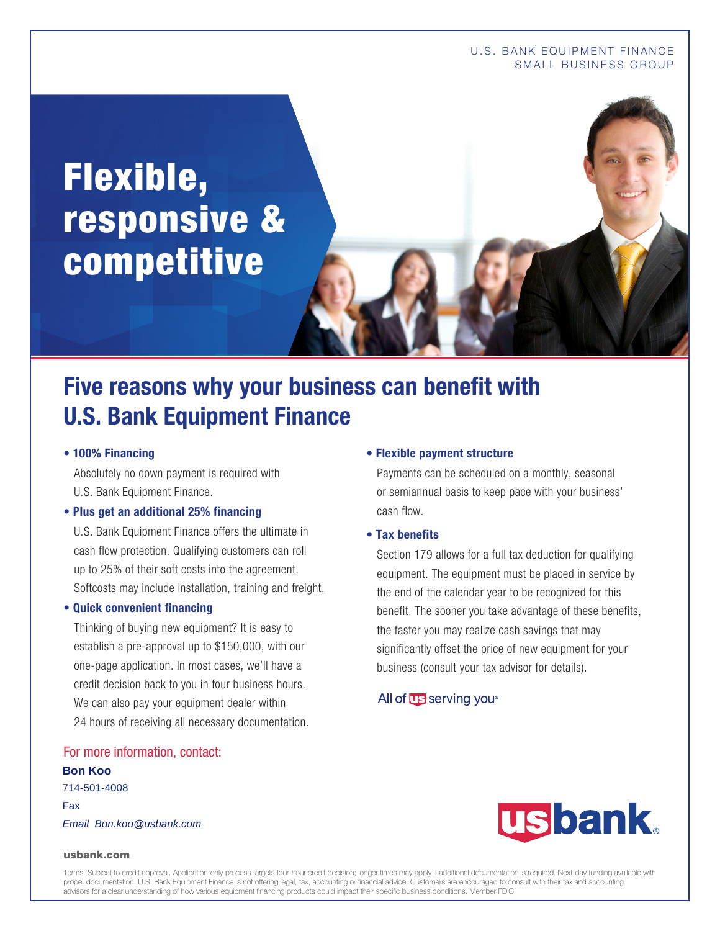# Flexible, responsive & competitive

## **Five reasons why your business can benefit with U.S. Bank Equipment Finance**

#### **• 100% Financing**

Absolutely no down payment is required with U.S. Bank Equipment Finance.

#### **• Plus get an additional 25% financing**

U.S. Bank Equipment Finance offers the ultimate in cash flow protection. Qualifying customers can roll up to 25% of their soft costs into the agreement. Softcosts may include installation, training and freight.

#### **• Quick convenient financing**

Thinking of buying new equipment? It is easy to establish a pre-approval up to \$150,000, with our one-page application. In most cases, we'll have a credit decision back to you in four business hours. We can also pay your equipment dealer within 24 hours of receiving all necessary documentation.

#### For more information, contact:

**Bon Koo** 714-501-4008 Fax Email Bon.koo@usbank.com

#### **• Flexible payment structure**

Payments can be scheduled on a monthly, seasonal or semiannual basis to keep pace with your business' cash flow.

#### **• Tax benefits**

Section 179 allows for a full tax deduction for qualifying equipment. The equipment must be placed in service by the end of the calendar year to be recognized for this benefit. The sooner you take advantage of these benefits, the faster you may realize cash savings that may significantly offset the price of new equipment for your business (consult your tax advisor for details).

#### All of **US** serving you<sup>®</sup>



#### usbank.com

Terms: Subject to credit approval. Application-only process targets four-hour credit decision; longer times may apply if additional documentation is required. Next-day funding available with proper documentation. U.S. Bank Equipment Finance is not offering legal, tax, accounting or financial advice. Customers are encouraged to consult with their tax and accounting advisors for a clear understanding of how various equipment financing products could impact their specific business conditions. Member FDIC.